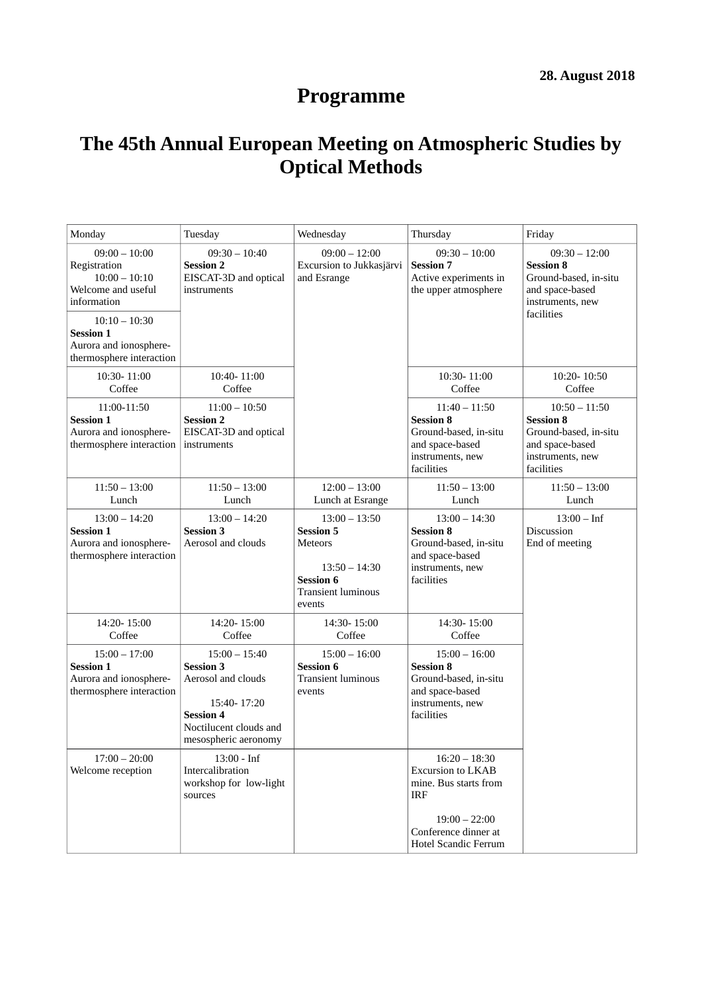# **Programme**

## **The 45th Annual European Meeting on Atmospheric Studies by Optical Methods**

| Monday                                                                                    | Tuesday                                                                                                                                        | Wednesday                                                                                                                           | Thursday                                                                                                                                                     | Friday                                                                                                            |
|-------------------------------------------------------------------------------------------|------------------------------------------------------------------------------------------------------------------------------------------------|-------------------------------------------------------------------------------------------------------------------------------------|--------------------------------------------------------------------------------------------------------------------------------------------------------------|-------------------------------------------------------------------------------------------------------------------|
| $09:00 - 10:00$<br>Registration<br>$10:00 - 10:10$<br>Welcome and useful<br>information   | $09:30 - 10:40$<br><b>Session 2</b><br>EISCAT-3D and optical<br>instruments                                                                    | $09:00 - 12:00$<br>Excursion to Jukkasjärvi<br>and Esrange                                                                          | $09:30 - 10:00$<br><b>Session 7</b><br>Active experiments in<br>the upper atmosphere                                                                         | $09:30 - 12:00$<br><b>Session 8</b><br>Ground-based, in-situ<br>and space-based<br>instruments, new<br>facilities |
| $10:10 - 10:30$<br><b>Session 1</b><br>Aurora and ionosphere-<br>thermosphere interaction |                                                                                                                                                |                                                                                                                                     |                                                                                                                                                              |                                                                                                                   |
| 10:30-11:00<br>Coffee                                                                     | 10:40-11:00<br>Coffee                                                                                                                          |                                                                                                                                     | 10:30-11:00<br>Coffee                                                                                                                                        | 10:20-10:50<br>Coffee                                                                                             |
| 11:00-11:50<br><b>Session 1</b><br>Aurora and ionosphere-<br>thermosphere interaction     | $11:00 - 10:50$<br><b>Session 2</b><br>EISCAT-3D and optical<br>instruments                                                                    |                                                                                                                                     | $11:40 - 11:50$<br><b>Session 8</b><br>Ground-based, in-situ<br>and space-based<br>instruments, new<br>facilities                                            | $10:50 - 11:50$<br><b>Session 8</b><br>Ground-based, in-situ<br>and space-based<br>instruments, new<br>facilities |
| $11:50 - 13:00$<br>Lunch                                                                  | $11:50 - 13:00$<br>Lunch                                                                                                                       | $12:00 - 13:00$<br>Lunch at Esrange                                                                                                 | $11:50 - 13:00$<br>Lunch                                                                                                                                     | $11:50 - 13:00$<br>Lunch                                                                                          |
| $13:00 - 14:20$<br><b>Session 1</b><br>Aurora and ionosphere-<br>thermosphere interaction | $13:00 - 14:20$<br><b>Session 3</b><br>Aerosol and clouds                                                                                      | $13:00 - 13:50$<br><b>Session 5</b><br><b>Meteors</b><br>$13:50 - 14:30$<br><b>Session 6</b><br><b>Transient luminous</b><br>events | $13:00 - 14:30$<br><b>Session 8</b><br>Ground-based, in-situ<br>and space-based<br>instruments, new<br>facilities                                            | $13:00 - Inf$<br><b>Discussion</b><br>End of meeting                                                              |
| 14:20-15:00<br>Coffee                                                                     | 14:20-15:00<br>Coffee                                                                                                                          | 14:30-15:00<br>Coffee                                                                                                               | 14:30-15:00<br>Coffee                                                                                                                                        |                                                                                                                   |
| $15:00 - 17:00$<br><b>Session 1</b><br>Aurora and ionosphere-<br>thermosphere interaction | $15:00 - 15:40$<br><b>Session 3</b><br>Aerosol and clouds<br>15:40-17:20<br><b>Session 4</b><br>Noctilucent clouds and<br>mesospheric aeronomy | $15:00 - 16:00$<br><b>Session 6</b><br><b>Transient luminous</b><br>events                                                          | $15:00 - 16:00$<br><b>Session 8</b><br>Ground-based, in-situ<br>and space-based<br>instruments, new<br>facilities                                            |                                                                                                                   |
| $17:00 - 20:00$<br>Welcome reception                                                      | 13:00 - Inf<br>Intercalibration<br>workshop for low-light<br>sources                                                                           |                                                                                                                                     | $16:20 - 18:30$<br><b>Excursion to LKAB</b><br>mine. Bus starts from<br><b>IRF</b><br>$19:00 - 22:00$<br>Conference dinner at<br><b>Hotel Scandic Ferrum</b> |                                                                                                                   |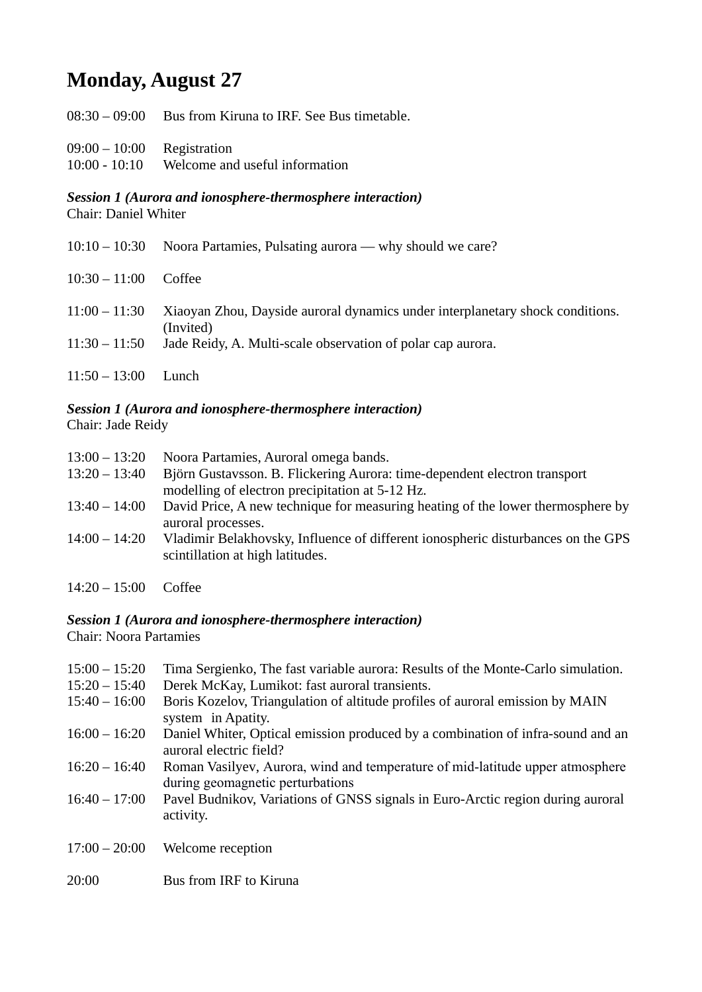## **Monday, August 27**

- 09:00 10:00 Registration
- 10:00 10:10 Welcome and useful information

## *Session 1 (Aurora and ionosphere-thermosphere interaction)*

Chair: Daniel Whiter

|                                    | $10:10-10:30$ Noora Partamies, Pulsating aurora — why should we care?                                                                                     |
|------------------------------------|-----------------------------------------------------------------------------------------------------------------------------------------------------------|
| $10:30 - 11:00$                    | Coffee                                                                                                                                                    |
| $11:00 - 11:30$<br>$11:30 - 11:50$ | Xiaoyan Zhou, Dayside auroral dynamics under interplanetary shock conditions.<br>(Invited)<br>Jade Reidy, A. Multi-scale observation of polar cap aurora. |
| $11:50 - 13:00$                    | Lunch                                                                                                                                                     |

## *Session 1 (Aurora and ionosphere-thermosphere interaction)*

Chair: Jade Reidy

| $13:00 - 13:20$ | Noora Partamies, Auroral omega bands.                                            |
|-----------------|----------------------------------------------------------------------------------|
| $13:20 - 13:40$ | Björn Gustavsson. B. Flickering Aurora: time-dependent electron transport        |
|                 | modelling of electron precipitation at 5-12 Hz.                                  |
| $13:40 - 14:00$ | David Price, A new technique for measuring heating of the lower thermosphere by  |
|                 | auroral processes.                                                               |
| $14:00 - 14:20$ | Vladimir Belakhovsky, Influence of different ionospheric disturbances on the GPS |
|                 | scintillation at high latitudes.                                                 |
|                 |                                                                                  |
|                 |                                                                                  |

14:20 – 15:00 Coffee

### *Session 1 (Aurora and ionosphere-thermosphere interaction)*

Chair: Noora Partamies

| $15:00 - 15:20$ | Tima Sergienko, The fast variable aurora: Results of the Monte-Carlo simulation.                                  |
|-----------------|-------------------------------------------------------------------------------------------------------------------|
| $15:20 - 15:40$ | Derek McKay, Lumikot: fast auroral transients.                                                                    |
| $15:40 - 16:00$ | Boris Kozelov, Triangulation of altitude profiles of auroral emission by MAIN                                     |
|                 | system in Apatity.                                                                                                |
| $16:00 - 16:20$ | Daniel Whiter, Optical emission produced by a combination of infra-sound and an<br>auroral electric field?        |
| $16:20 - 16:40$ | Roman Vasilyev, Aurora, wind and temperature of mid-latitude upper atmosphere<br>during geomagnetic perturbations |
| $16:40 - 17:00$ | Pavel Budnikov, Variations of GNSS signals in Euro-Arctic region during auroral<br>activity.                      |
| $17:00 - 20:00$ | Welcome reception                                                                                                 |
| 20:00           | Bus from IRF to Kiruna                                                                                            |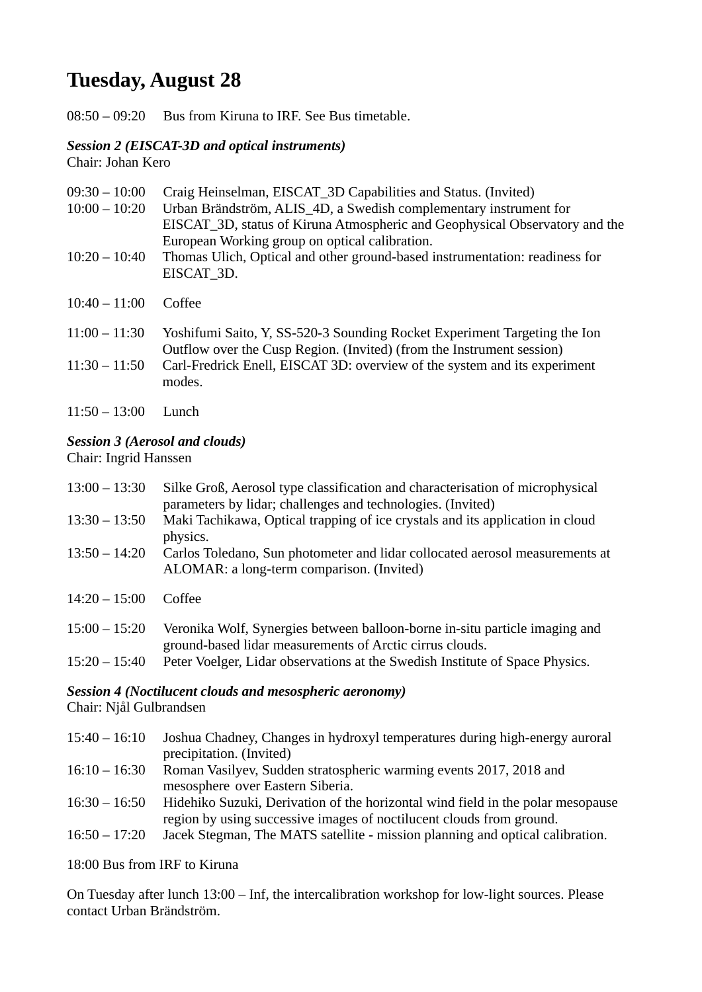## **Tuesday, August 28**

08:50 – 09:20 Bus from Kiruna to IRF. See Bus timetable.

## *Session 2 (EISCAT-3D and optical instruments)*

Chair: Johan Kero

| $09:30 - 10:00$<br>$10:00 - 10:20$<br>$10:20 - 10:40$ | Craig Heinselman, EISCAT_3D Capabilities and Status. (Invited)<br>Urban Brändström, ALIS_4D, a Swedish complementary instrument for<br>EISCAT_3D, status of Kiruna Atmospheric and Geophysical Observatory and the<br>European Working group on optical calibration.<br>Thomas Ulich, Optical and other ground-based instrumentation: readiness for<br>EISCAT 3D. |
|-------------------------------------------------------|-------------------------------------------------------------------------------------------------------------------------------------------------------------------------------------------------------------------------------------------------------------------------------------------------------------------------------------------------------------------|
| $10:40 - 11:00$                                       | Coffee                                                                                                                                                                                                                                                                                                                                                            |
| $11:00 - 11:30$<br>$11:30 - 11:50$                    | Yoshifumi Saito, Y, SS-520-3 Sounding Rocket Experiment Targeting the Ion<br>Outflow over the Cusp Region. (Invited) (from the Instrument session)<br>Carl-Fredrick Enell, EISCAT 3D: overview of the system and its experiment<br>modes.                                                                                                                         |
|                                                       |                                                                                                                                                                                                                                                                                                                                                                   |

11:50 – 13:00 Lunch

### *Session 3 (Aerosol and clouds)*

Chair: Ingrid Hanssen

| $13:00 - 13:30$ | Silke Groß, Aerosol type classification and characterisation of microphysical<br>parameters by lidar; challenges and technologies. (Invited) |
|-----------------|----------------------------------------------------------------------------------------------------------------------------------------------|
| $13:30 - 13:50$ | Maki Tachikawa, Optical trapping of ice crystals and its application in cloud<br>physics.                                                    |
| $13:50 - 14:20$ | Carlos Toledano, Sun photometer and lidar collocated aerosol measurements at<br>ALOMAR: a long-term comparison. (Invited)                    |
| $14:20 - 15:00$ | Coffee                                                                                                                                       |
| $15:00 - 15:20$ | Veronika Wolf, Synergies between balloon-borne in-situ particle imaging and<br>ground-based lidar measurements of Arctic cirrus clouds.      |
| $15:20 - 15:40$ | Peter Voelger, Lidar observations at the Swedish Institute of Space Physics.                                                                 |

### *Session 4 (Noctilucent clouds and mesospheric aeronomy)*

Chair: Njål Gulbrandsen

- 15:40 16:10 Joshua Chadney, Changes in hydroxyl temperatures during high-energy auroral precipitation. (Invited) 16:10 – 16:30 Roman Vasilyev, Sudden stratospheric warming events 2017, 2018 and mesosphere over Eastern Siberia. 16:30 – 16:50 Hidehiko Suzuki, Derivation of the horizontal wind field in the polar mesopause region by using successive images of noctilucent clouds from ground.
- 16:50 17:20 Jacek Stegman, The MATS satellite mission planning and optical calibration.

18:00 Bus from IRF to Kiruna

On Tuesday after lunch 13:00 – Inf, the intercalibration workshop for low-light sources. Please contact Urban Brändström.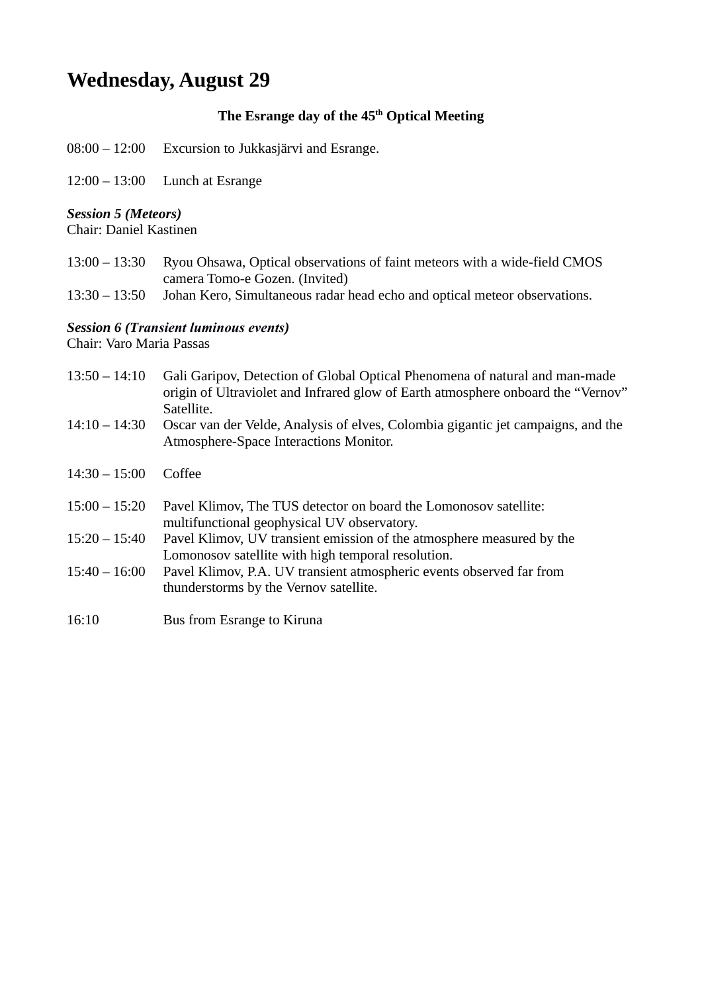## **Wednesday, August 29**

## **The Esrange day of the 45th Optical Meeting**

- 08:00 12:00 Excursion to Jukkasjärvi and Esrange.
- 12:00 13:00 Lunch at Esrange

## *Session 5 (Meteors)*

Chair: Daniel Kastinen

- 13:00 13:30 Ryou Ohsawa, Optical observations of faint meteors with a wide-field CMOS camera Tomo-e Gozen. (Invited)
- 13:30 13:50 Johan Kero, Simultaneous radar head echo and optical meteor observations.

### *Session 6 (Transient luminous events)*

Chair: Varo Maria Passas

| $13:50 - 14:10$ | Gali Garipov, Detection of Global Optical Phenomena of natural and man-made<br>origin of Ultraviolet and Infrared glow of Earth atmosphere onboard the "Vernov"<br>Satellite. |
|-----------------|-------------------------------------------------------------------------------------------------------------------------------------------------------------------------------|
| $14:10 - 14:30$ | Oscar van der Velde, Analysis of elves, Colombia gigantic jet campaigns, and the<br>Atmosphere-Space Interactions Monitor.                                                    |
| $14:30 - 15:00$ | Coffee                                                                                                                                                                        |
| $15:00 - 15:20$ | Pavel Klimov, The TUS detector on board the Lomonosov satellite:<br>multifunctional geophysical UV observatory.                                                               |
| $15:20 - 15:40$ | Pavel Klimov, UV transient emission of the atmosphere measured by the<br>Lomonosov satellite with high temporal resolution.                                                   |
| $15:40 - 16:00$ | Pavel Klimov, P.A. UV transient atmospheric events observed far from<br>thunderstorms by the Vernov satellite.                                                                |
| 16:10           | Bus from Esrange to Kiruna                                                                                                                                                    |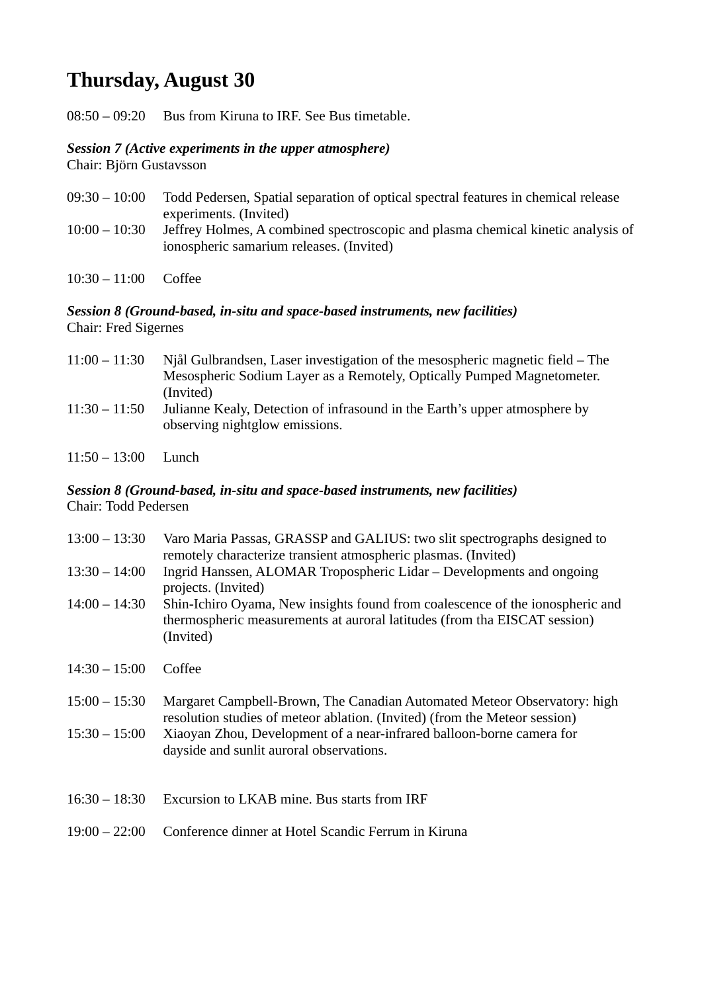## **Thursday, August 30**

08:50 – 09:20 Bus from Kiruna to IRF. See Bus timetable.

### *Session 7 (Active experiments in the upper atmosphere)*

Chair: Björn Gustavsson

- 09:30 10:00 Todd Pedersen, Spatial separation of optical spectral features in chemical release experiments. (Invited) 10:00 – 10:30 Jeffrey Holmes, A combined spectroscopic and plasma chemical kinetic analysis of ionospheric samarium releases. (Invited)
- 10:30 11:00 Coffee

### *Session 8 (Ground-based, in-situ and space-based instruments, new facilities)* Chair: Fred Sigernes

| $11:00 - 11:30$ | Njål Gulbrandsen, Laser investigation of the mesospheric magnetic field $-$ The                              |
|-----------------|--------------------------------------------------------------------------------------------------------------|
|                 | Mesospheric Sodium Layer as a Remotely, Optically Pumped Magnetometer.                                       |
|                 | (Invited)                                                                                                    |
| $11:30 - 11:50$ | Julianne Kealy, Detection of infrasound in the Earth's upper atmosphere by<br>observing nightglow emissions. |

11:50 – 13:00 Lunch

#### *Session 8 (Ground-based, in-situ and space-based instruments, new facilities)* Chair: Todd Pedersen

| $13:00 - 13:30$ | Varo Maria Passas, GRASSP and GALIUS: two slit spectrographs designed to<br>remotely characterize transient atmospheric plasmas. (Invited)                              |
|-----------------|-------------------------------------------------------------------------------------------------------------------------------------------------------------------------|
| $13:30 - 14:00$ | Ingrid Hanssen, ALOMAR Tropospheric Lidar – Developments and ongoing<br>projects. (Invited)                                                                             |
| $14:00 - 14:30$ | Shin-Ichiro Oyama, New insights found from coalescence of the ionospheric and<br>thermospheric measurements at auroral latitudes (from tha EISCAT session)<br>(Invited) |
| $14:30 - 15:00$ | Coffee                                                                                                                                                                  |
| $15:00 - 15:30$ | Margaret Campbell-Brown, The Canadian Automated Meteor Observatory: high<br>resolution studies of meteor ablation. (Invited) (from the Meteor session)                  |
| $15:30 - 15:00$ | Xiaoyan Zhou, Development of a near-infrared balloon-borne camera for<br>dayside and sunlit auroral observations.                                                       |
| $16:30 - 18:30$ | Excursion to LKAB mine. Bus starts from IRF                                                                                                                             |
| $19:00 - 22:00$ | Conference dinner at Hotel Scandic Ferrum in Kiruna                                                                                                                     |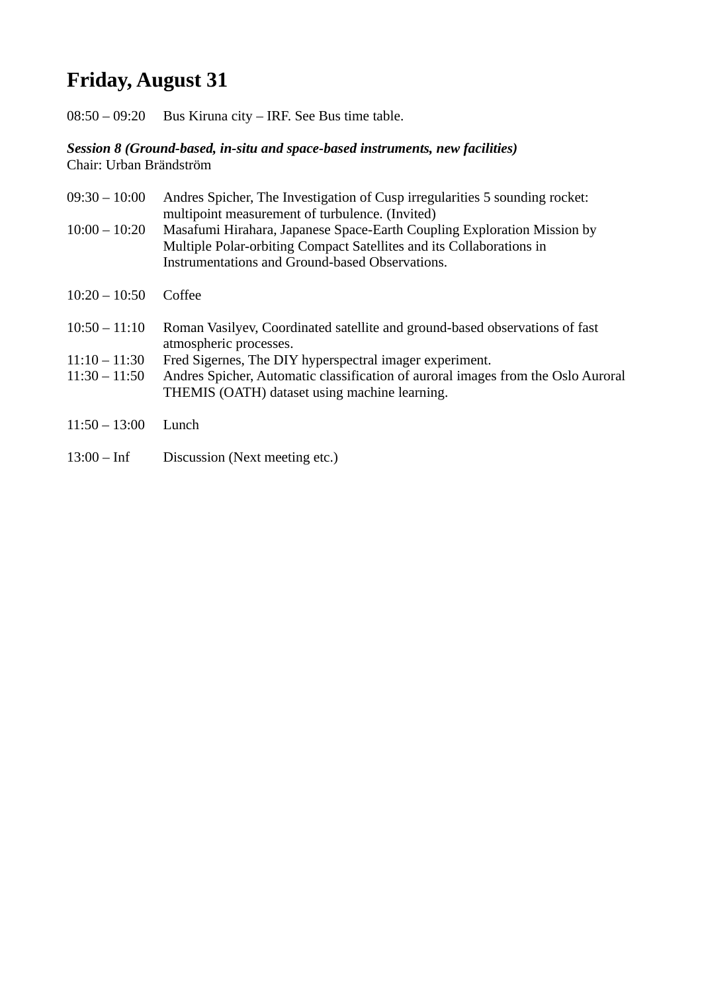# **Friday, August 31**

08:50 – 09:20 Bus Kiruna city – IRF. See Bus time table.

#### *Session 8 (Ground-based, in-situ and space-based instruments, new facilities)* Chair: Urban Brändström

09:30 – 10:00 Andres Spicher, The Investigation of Cusp irregularities 5 sounding rocket: multipoint measurement of turbulence. (Invited) 10:00 – 10:20 Masafumi Hirahara, Japanese Space-Earth Coupling Exploration Mission by Multiple Polar-orbiting Compact Satellites and its Collaborations in Instrumentations and Ground-based Observations. 10:20 – 10:50 Coffee 10:50 – 11:10 Roman Vasilyev, Coordinated satellite and ground-based observations of fast atmospheric processes. 11:10 – 11:30 Fred Sigernes, The DIY hyperspectral imager experiment. 11:30 – 11:50 Andres Spicher, Automatic classification of auroral images from the Oslo Auroral THEMIS (OATH) dataset using machine learning. 11:50 – 13:00 Lunch

13:00 – Inf Discussion (Next meeting etc.)